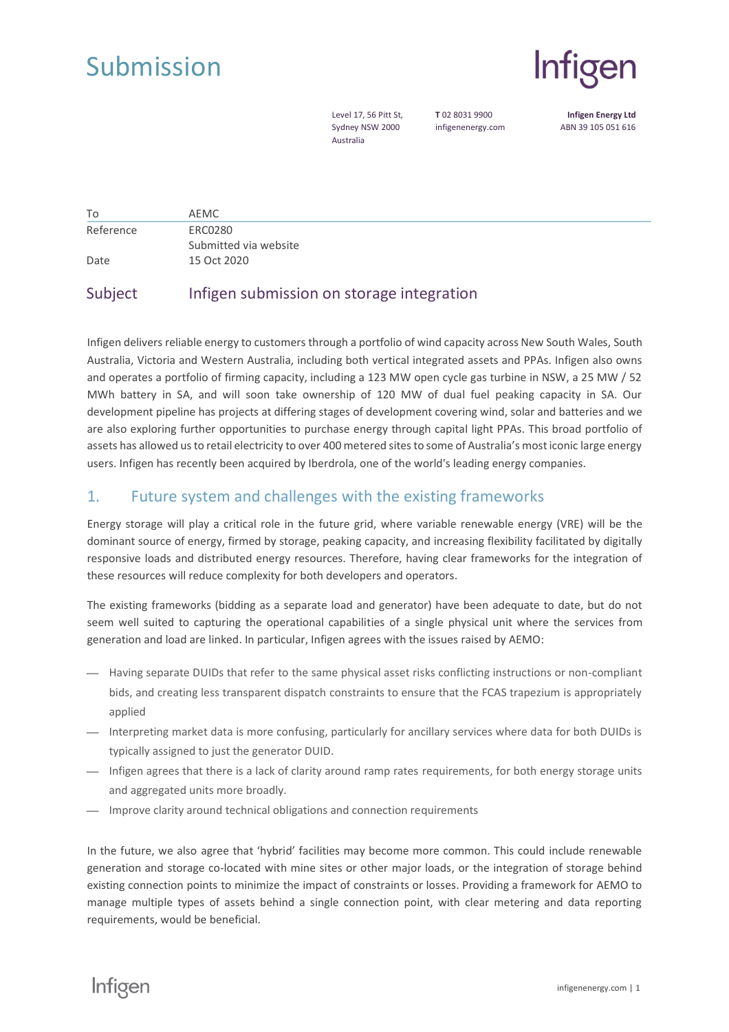



Level 17, 56 Pitt St, Sydney NSW 2000 Australia

**T** 02 8031 9900 infigenenergy.com

**Infigen Energy Ltd** ABN 39 105 051 616

| To        | AEMC                  |
|-----------|-----------------------|
| Reference | ERC0280               |
|           | Submitted via website |
| Date      | 15 Oct 2020           |

# Subject Infigen submission on storage integration

Infigen delivers reliable energy to customers through a portfolio of wind capacity across New South Wales, South Australia, Victoria and Western Australia, including both vertical integrated assets and PPAs. Infigen also owns and operates a portfolio of firming capacity, including a 123 MW open cycle gas turbine in NSW, a 25 MW / 52 MWh battery in SA, and will soon take ownership of 120 MW of dual fuel peaking capacity in SA. Our development pipeline has projects at differing stages of development covering wind, solar and batteries and we are also exploring further opportunities to purchase energy through capital light PPAs. This broad portfolio of assets has allowed us to retail electricity to over 400 metered sites to some of Australia's most iconic large energy users. Infigen has recently been acquired by Iberdrola, one of the world's leading energy companies.

### 1. Future system and challenges with the existing frameworks

Energy storage will play a critical role in the future grid, where variable renewable energy (VRE) will be the dominant source of energy, firmed by storage, peaking capacity, and increasing flexibility facilitated by digitally responsive loads and distributed energy resources. Therefore, having clear frameworks for the integration of these resources will reduce complexity for both developers and operators.

The existing frameworks (bidding as a separate load and generator) have been adequate to date, but do not seem well suited to capturing the operational capabilities of a single physical unit where the services from generation and load are linked. In particular, Infigen agrees with the issues raised by AEMO:

- $-$  Having separate DUIDs that refer to the same physical asset risks conflicting instructions or non-compliant bids, and creating less transparent dispatch constraints to ensure that the FCAS trapezium is appropriately applied
- ⎯ Interpreting market data is more confusing, particularly for ancillary services where data for both DUIDs is typically assigned to just the generator DUID.
- ⎯ Infigen agrees that there is a lack of clarity around ramp rates requirements, for both energy storage units and aggregated units more broadly.
- <sup>-</sup> Improve clarity around technical obligations and connection requirements

In the future, we also agree that 'hybrid' facilities may become more common. This could include renewable generation and storage co-located with mine sites or other major loads, or the integration of storage behind existing connection points to minimize the impact of constraints or losses. Providing a framework for AEMO to manage multiple types of assets behind a single connection point, with clear metering and data reporting requirements, would be beneficial.

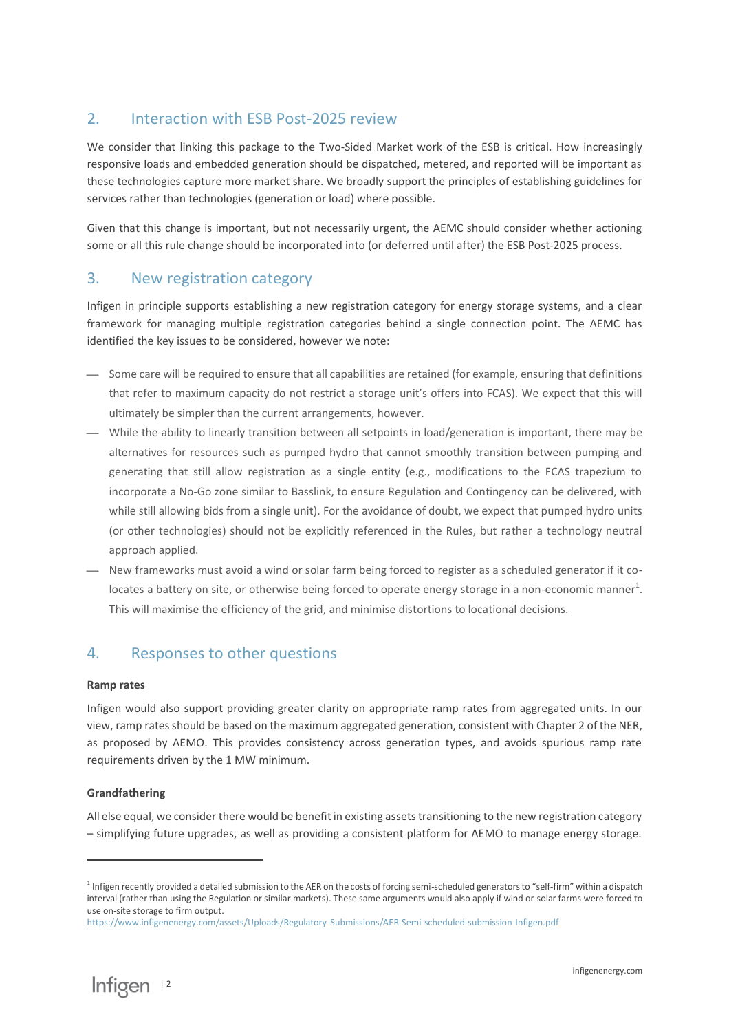# 2. Interaction with ESB Post-2025 review

We consider that linking this package to the Two-Sided Market work of the ESB is critical. How increasingly responsive loads and embedded generation should be dispatched, metered, and reported will be important as these technologies capture more market share. We broadly support the principles of establishing guidelines for services rather than technologies (generation or load) where possible.

Given that this change is important, but not necessarily urgent, the AEMC should consider whether actioning some or all this rule change should be incorporated into (or deferred until after) the ESB Post-2025 process.

### 3. New registration category

Infigen in principle supports establishing a new registration category for energy storage systems, and a clear framework for managing multiple registration categories behind a single connection point. The AEMC has identified the key issues to be considered, however we note:

- Some care will be required to ensure that all capabilities are retained (for example, ensuring that definitions that refer to maximum capacity do not restrict a storage unit's offers into FCAS). We expect that this will ultimately be simpler than the current arrangements, however.
- ⎯ While the ability to linearly transition between all setpoints in load/generation is important, there may be alternatives for resources such as pumped hydro that cannot smoothly transition between pumping and generating that still allow registration as a single entity (e.g., modifications to the FCAS trapezium to incorporate a No-Go zone similar to Basslink, to ensure Regulation and Contingency can be delivered, with while still allowing bids from a single unit). For the avoidance of doubt, we expect that pumped hydro units (or other technologies) should not be explicitly referenced in the Rules, but rather a technology neutral approach applied.
- $-$  New frameworks must avoid a wind or solar farm being forced to register as a scheduled generator if it colocates a battery on site, or otherwise being forced to operate energy storage in a non-economic manner<sup>1</sup>. This will maximise the efficiency of the grid, and minimise distortions to locational decisions.

# 4. Responses to other questions

#### **Ramp rates**

Infigen would also support providing greater clarity on appropriate ramp rates from aggregated units. In our view, ramp rates should be based on the maximum aggregated generation, consistent with Chapter 2 of the NER, as proposed by AEMO. This provides consistency across generation types, and avoids spurious ramp rate requirements driven by the 1 MW minimum.

#### **Grandfathering**

All else equal, we consider there would be benefit in existing assets transitioning to the new registration category – simplifying future upgrades, as well as providing a consistent platform for AEMO to manage energy storage.

<sup>&</sup>lt;sup>1</sup> Infigen recently provided a detailed submission to the AER on the costs of forcing semi-scheduled generators to "self-firm" within a dispatch interval (rather than using the Regulation or similar markets). These same arguments would also apply if wind or solar farms were forced to use on-site storage to firm output.

<https://www.infigenenergy.com/assets/Uploads/Regulatory-Submissions/AER-Semi-scheduled-submission-Infigen.pdf>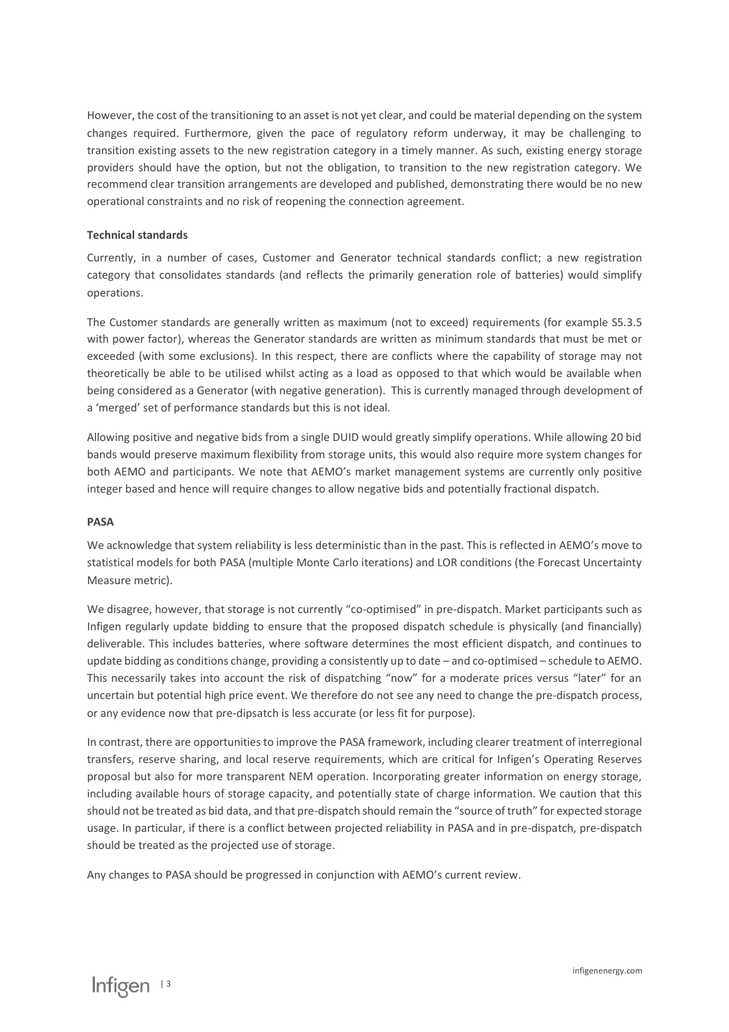However, the cost of the transitioning to an asset is not yet clear, and could be material depending on the system changes required. Furthermore, given the pace of regulatory reform underway, it may be challenging to transition existing assets to the new registration category in a timely manner. As such, existing energy storage providers should have the option, but not the obligation, to transition to the new registration category. We recommend clear transition arrangements are developed and published, demonstrating there would be no new operational constraints and no risk of reopening the connection agreement.

#### **Technical standards**

Currently, in a number of cases, Customer and Generator technical standards conflict; a new registration category that consolidates standards (and reflects the primarily generation role of batteries) would simplify operations.

The Customer standards are generally written as maximum (not to exceed) requirements (for example S5.3.5 with power factor), whereas the Generator standards are written as minimum standards that must be met or exceeded (with some exclusions). In this respect, there are conflicts where the capability of storage may not theoretically be able to be utilised whilst acting as a load as opposed to that which would be available when being considered as a Generator (with negative generation). This is currently managed through development of a 'merged' set of performance standards but this is not ideal.

Allowing positive and negative bids from a single DUID would greatly simplify operations. While allowing 20 bid bands would preserve maximum flexibility from storage units, this would also require more system changes for both AEMO and participants. We note that AEMO's market management systems are currently only positive integer based and hence will require changes to allow negative bids and potentially fractional dispatch.

#### **PASA**

We acknowledge that system reliability is less deterministic than in the past. This is reflected in AEMO's move to statistical models for both PASA (multiple Monte Carlo iterations) and LOR conditions (the Forecast Uncertainty Measure metric).

We disagree, however, that storage is not currently "co-optimised" in pre-dispatch. Market participants such as Infigen regularly update bidding to ensure that the proposed dispatch schedule is physically (and financially) deliverable. This includes batteries, where software determines the most efficient dispatch, and continues to update bidding as conditions change, providing a consistently up to date – and co-optimised – schedule to AEMO. This necessarily takes into account the risk of dispatching "now" for a moderate prices versus "later" for an uncertain but potential high price event. We therefore do not see any need to change the pre-dispatch process, or any evidence now that pre-dipsatch is less accurate (or less fit for purpose).

In contrast, there are opportunities to improve the PASA framework, including clearer treatment of interregional transfers, reserve sharing, and local reserve requirements, which are critical for Infigen's Operating Reserves proposal but also for more transparent NEM operation. Incorporating greater information on energy storage, including available hours of storage capacity, and potentially state of charge information. We caution that this should not be treated as bid data, and that pre-dispatch should remain the "source of truth" for expected storage usage. In particular, if there is a conflict between projected reliability in PASA and in pre-dispatch, pre-dispatch should be treated as the projected use of storage.

Any changes to PASA should be progressed in conjunction with AEMO's current review.